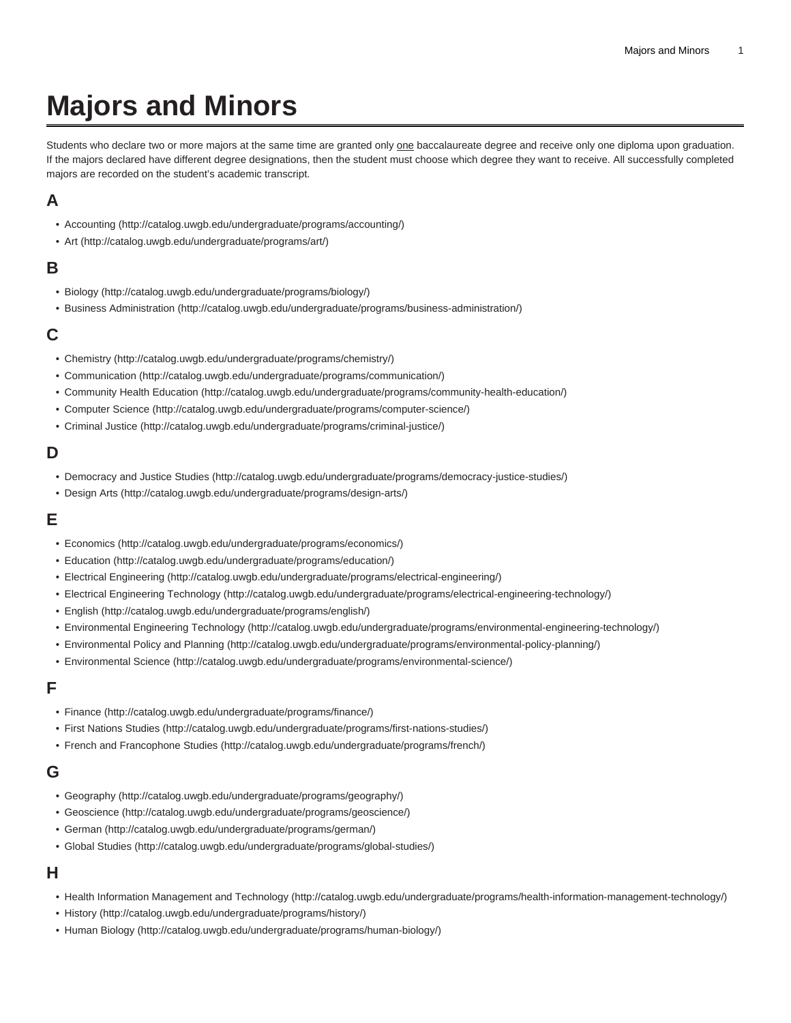# **Majors and Minors**

Students who declare two or more majors at the same time are granted only one baccalaureate degree and receive only one diploma upon graduation. If the majors declared have different degree designations, then the student must choose which degree they want to receive. All successfully completed majors are recorded on the student's academic transcript.

# **A**

- [Accounting \(http://catalog.uwgb.edu/undergraduate/programs/accounting/\)](http://catalog.uwgb.edu/undergraduate/programs/accounting/)
- [Art](http://catalog.uwgb.edu/undergraduate/programs/art/) [\(http://catalog.uwgb.edu/undergraduate/programs/art/\)](http://catalog.uwgb.edu/undergraduate/programs/art/)

# **B**

- [Biology](http://catalog.uwgb.edu/undergraduate/programs/biology/) [\(http://catalog.uwgb.edu/undergraduate/programs/biology/\)](http://catalog.uwgb.edu/undergraduate/programs/biology/)
- [Business Administration](http://catalog.uwgb.edu/undergraduate/programs/business-administration/) [\(http://catalog.uwgb.edu/undergraduate/programs/business-administration/\)](http://catalog.uwgb.edu/undergraduate/programs/business-administration/)

## **C**

- [Chemistry](http://catalog.uwgb.edu/undergraduate/programs/chemistry/) ([http://catalog.uwgb.edu/undergraduate/programs/chemistry/\)](http://catalog.uwgb.edu/undergraduate/programs/chemistry/)
- [Communication \(http://catalog.uwgb.edu/undergraduate/programs/communication/\)](http://catalog.uwgb.edu/undergraduate/programs/communication/)
- [Community Health Education \(http://catalog.uwgb.edu/undergraduate/programs/community-health-education/](http://catalog.uwgb.edu/undergraduate/programs/community-health-education/))
- [Computer Science](http://catalog.uwgb.edu/undergraduate/programs/computer-science/) (<http://catalog.uwgb.edu/undergraduate/programs/computer-science/>)
- [Criminal Justice](http://catalog.uwgb.edu/undergraduate/programs/criminal-justice/) [\(http://catalog.uwgb.edu/undergraduate/programs/criminal-justice/\)](http://catalog.uwgb.edu/undergraduate/programs/criminal-justice/)

## **D**

- [Democracy and Justice Studies](http://catalog.uwgb.edu/undergraduate/programs/democracy-justice-studies/) ([http://catalog.uwgb.edu/undergraduate/programs/democracy-justice-studies/\)](http://catalog.uwgb.edu/undergraduate/programs/democracy-justice-studies/)
- [Design Arts](http://catalog.uwgb.edu/undergraduate/programs/design-arts/) [\(http://catalog.uwgb.edu/undergraduate/programs/design-arts/](http://catalog.uwgb.edu/undergraduate/programs/design-arts/))

## **E**

- [Economics](http://catalog.uwgb.edu/undergraduate/programs/economics/) [\(http://catalog.uwgb.edu/undergraduate/programs/economics/\)](http://catalog.uwgb.edu/undergraduate/programs/economics/)
- [Education \(http://catalog.uwgb.edu/undergraduate/programs/education/\)](http://catalog.uwgb.edu/undergraduate/programs/education/)
- [Electrical Engineering](http://catalog.uwgb.edu/undergraduate/programs/electrical-engineering/) [\(http://catalog.uwgb.edu/undergraduate/programs/electrical-engineering/\)](http://catalog.uwgb.edu/undergraduate/programs/electrical-engineering/)
- [Electrical Engineering Technology](http://catalog.uwgb.edu/undergraduate/programs/electrical-engineering-technology/) ([http://catalog.uwgb.edu/undergraduate/programs/electrical-engineering-technology/\)](http://catalog.uwgb.edu/undergraduate/programs/electrical-engineering-technology/)
- [English](http://catalog.uwgb.edu/undergraduate/programs/english/) [\(http://catalog.uwgb.edu/undergraduate/programs/english/\)](http://catalog.uwgb.edu/undergraduate/programs/english/)
- [Environmental Engineering Technology](http://catalog.uwgb.edu/undergraduate/programs/environmental-engineering-technology/) ([http://catalog.uwgb.edu/undergraduate/programs/environmental-engineering-technology/\)](http://catalog.uwgb.edu/undergraduate/programs/environmental-engineering-technology/)
- [Environmental Policy and Planning \(http://catalog.uwgb.edu/undergraduate/programs/environmental-policy-planning/](http://catalog.uwgb.edu/undergraduate/programs/environmental-policy-planning/))
- [Environmental Science](http://catalog.uwgb.edu/undergraduate/programs/environmental-science/) (<http://catalog.uwgb.edu/undergraduate/programs/environmental-science/>)

# **F**

- [Finance](http://catalog.uwgb.edu/undergraduate/programs/finance/) [\(http://catalog.uwgb.edu/undergraduate/programs/finance/\)](http://catalog.uwgb.edu/undergraduate/programs/finance/)
- [First Nations Studies](http://catalog.uwgb.edu/undergraduate/programs/first-nations-studies/) (<http://catalog.uwgb.edu/undergraduate/programs/first-nations-studies/>)
- [French and Francophone Studies](http://catalog.uwgb.edu/undergraduate/programs/french/) (<http://catalog.uwgb.edu/undergraduate/programs/french/>)

# **G**

- [Geography \(http://catalog.uwgb.edu/undergraduate/programs/geography/\)](http://catalog.uwgb.edu/undergraduate/programs/geography/)
- [Geoscience](http://catalog.uwgb.edu/undergraduate/programs/geoscience/) [\(http://catalog.uwgb.edu/undergraduate/programs/geoscience/](http://catalog.uwgb.edu/undergraduate/programs/geoscience/))
- [German](http://catalog.uwgb.edu/undergraduate/programs/german/) (<http://catalog.uwgb.edu/undergraduate/programs/german/>)
- [Global Studies](http://catalog.uwgb.edu/undergraduate/programs/global-studies/) ([http://catalog.uwgb.edu/undergraduate/programs/global-studies/\)](http://catalog.uwgb.edu/undergraduate/programs/global-studies/)

## **H**

- [Health Information Management and Technology](http://catalog.uwgb.edu/undergraduate/programs/health-information-management-technology/) [\(http://catalog.uwgb.edu/undergraduate/programs/health-information-management-technology/](http://catalog.uwgb.edu/undergraduate/programs/health-information-management-technology/))
- [History](http://catalog.uwgb.edu/undergraduate/programs/history/) ([http://catalog.uwgb.edu/undergraduate/programs/history/\)](http://catalog.uwgb.edu/undergraduate/programs/history/)
- [Human Biology](http://catalog.uwgb.edu/undergraduate/programs/human-biology/) [\(http://catalog.uwgb.edu/undergraduate/programs/human-biology/](http://catalog.uwgb.edu/undergraduate/programs/human-biology/))